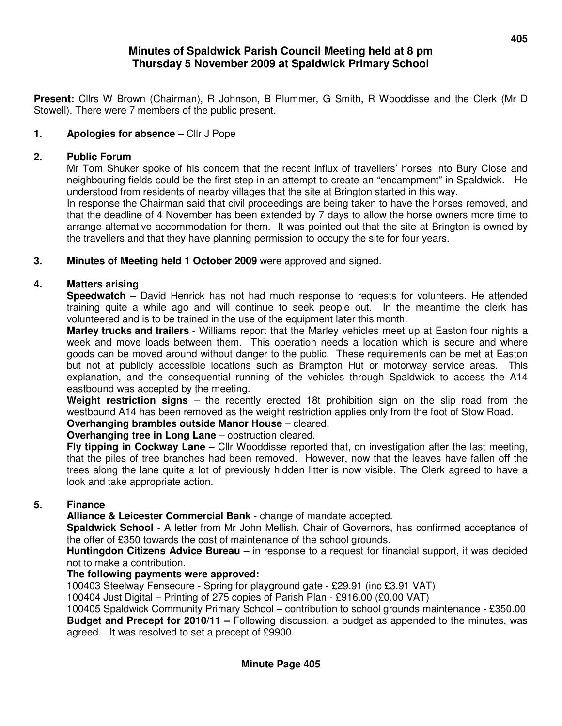#### **Minutes of Spaldwick Parish Council Meeting held at 8 pm Thursday 5 November 2009 at Spaldwick Primary School**

**Present:** Cllrs W Brown (Chairman), R Johnson, B Plummer, G Smith, R Wooddisse and the Clerk (Mr D Stowell). There were 7 members of the public present.

#### **1. Apologies for absence** – Cllr J Pope

#### **2. Public Forum**

Mr Tom Shuker spoke of his concern that the recent influx of travellers' horses into Bury Close and neighbouring fields could be the first step in an attempt to create an "encampment" in Spaldwick. He understood from residents of nearby villages that the site at Brington started in this way.

 In response the Chairman said that civil proceedings are being taken to have the horses removed, and that the deadline of 4 November has been extended by 7 days to allow the horse owners more time to arrange alternative accommodation for them. It was pointed out that the site at Brington is owned by the travellers and that they have planning permission to occupy the site for four years.

#### **3. Minutes of Meeting held 1 October 2009** were approved and signed.

#### **4. Matters arising**

**Speedwatch** – David Henrick has not had much response to requests for volunteers. He attended training quite a while ago and will continue to seek people out. In the meantime the clerk has volunteered and is to be trained in the use of the equipment later this month.

**Marley trucks and trailers** - Williams report that the Marley vehicles meet up at Easton four nights a week and move loads between them. This operation needs a location which is secure and where goods can be moved around without danger to the public. These requirements can be met at Easton but not at publicly accessible locations such as Brampton Hut or motorway service areas. This explanation, and the consequential running of the vehicles through Spaldwick to access the A14 eastbound was accepted by the meeting.

**Weight restriction signs** – the recently erected 18t prohibition sign on the slip road from the westbound A14 has been removed as the weight restriction applies only from the foot of Stow Road.

#### **Overhanging brambles outside Manor House** – cleared.

## **Overhanging tree in Long Lane** – obstruction cleared.

**Fly tipping in Cockway Lane –** Cllr Wooddisse reported that, on investigation after the last meeting, that the piles of tree branches had been removed. However, now that the leaves have fallen off the trees along the lane quite a lot of previously hidden litter is now visible. The Clerk agreed to have a look and take appropriate action.

#### **5. Finance**

## **Alliance & Leicester Commercial Bank** - change of mandate accepted.

**Spaldwick School** - A letter from Mr John Mellish, Chair of Governors, has confirmed acceptance of the offer of £350 towards the cost of maintenance of the school grounds.

**Huntingdon Citizens Advice Bureau** – in response to a request for financial support, it was decided not to make a contribution.

## **The following payments were approved:**

100403 Steelway Fensecure - Spring for playground gate - £29.91 (inc £3.91 VAT)

100404 Just Digital – Printing of 275 copies of Parish Plan - £916.00 (£0.00 VAT)

100405 Spaldwick Community Primary School – contribution to school grounds maintenance - £350.00 **Budget and Precept for 2010/11 –** Following discussion, a budget as appended to the minutes, was agreed. It was resolved to set a precept of £9900.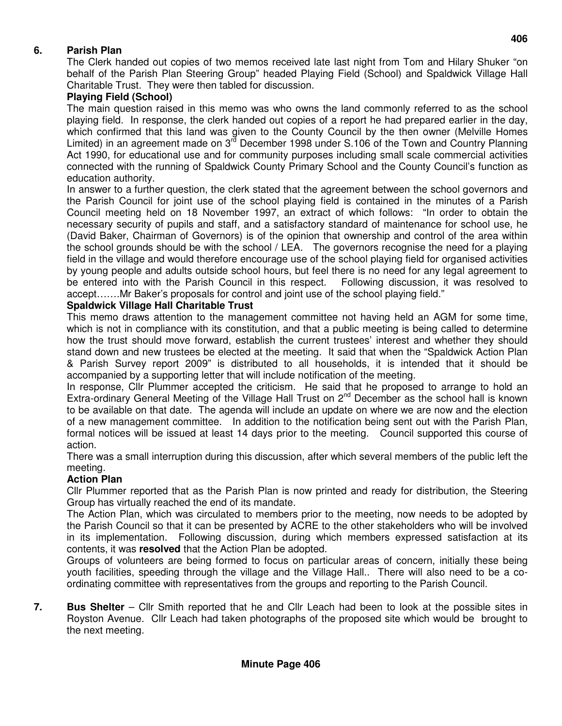## **6. Parish Plan**

The Clerk handed out copies of two memos received late last night from Tom and Hilary Shuker "on behalf of the Parish Plan Steering Group" headed Playing Field (School) and Spaldwick Village Hall Charitable Trust. They were then tabled for discussion.

# **Playing Field (School)**

The main question raised in this memo was who owns the land commonly referred to as the school playing field. In response, the clerk handed out copies of a report he had prepared earlier in the day, which confirmed that this land was given to the County Council by the then owner (Melville Homes Limited) in an agreement made on  $3^{rd}$  December 1998 under S.106 of the Town and Country Planning Act 1990, for educational use and for community purposes including small scale commercial activities connected with the running of Spaldwick County Primary School and the County Council's function as education authority.

In answer to a further question, the clerk stated that the agreement between the school governors and the Parish Council for joint use of the school playing field is contained in the minutes of a Parish Council meeting held on 18 November 1997, an extract of which follows: "In order to obtain the necessary security of pupils and staff, and a satisfactory standard of maintenance for school use, he (David Baker, Chairman of Governors) is of the opinion that ownership and control of the area within the school grounds should be with the school / LEA. The governors recognise the need for a playing field in the village and would therefore encourage use of the school playing field for organised activities by young people and adults outside school hours, but feel there is no need for any legal agreement to be entered into with the Parish Council in this respect. Following discussion, it was resolved to accept…….Mr Baker's proposals for control and joint use of the school playing field."

## **Spaldwick Village Hall Charitable Trust**

This memo draws attention to the management committee not having held an AGM for some time, which is not in compliance with its constitution, and that a public meeting is being called to determine how the trust should move forward, establish the current trustees' interest and whether they should stand down and new trustees be elected at the meeting. It said that when the "Spaldwick Action Plan & Parish Survey report 2009" is distributed to all households, it is intended that it should be accompanied by a supporting letter that will include notification of the meeting.

In response, Cllr Plummer accepted the criticism. He said that he proposed to arrange to hold an Extra-ordinary General Meeting of the Village Hall Trust on  $2^{nd}$  December as the school hall is known to be available on that date. The agenda will include an update on where we are now and the election of a new management committee. In addition to the notification being sent out with the Parish Plan, formal notices will be issued at least 14 days prior to the meeting. Council supported this course of action.

There was a small interruption during this discussion, after which several members of the public left the meeting.

## **Action Plan**

Cllr Plummer reported that as the Parish Plan is now printed and ready for distribution, the Steering Group has virtually reached the end of its mandate.

The Action Plan, which was circulated to members prior to the meeting, now needs to be adopted by the Parish Council so that it can be presented by ACRE to the other stakeholders who will be involved in its implementation. Following discussion, during which members expressed satisfaction at its contents, it was **resolved** that the Action Plan be adopted.

Groups of volunteers are being formed to focus on particular areas of concern, initially these being youth facilities, speeding through the village and the Village Hall.. There will also need to be a coordinating committee with representatives from the groups and reporting to the Parish Council.

**7. Bus Shelter** – Cllr Smith reported that he and Cllr Leach had been to look at the possible sites in Royston Avenue. Cllr Leach had taken photographs of the proposed site which would be brought to the next meeting.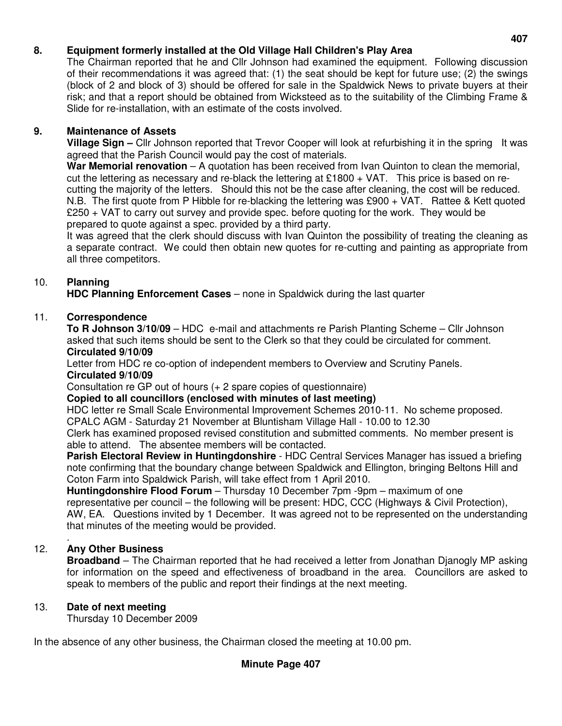## **8. Equipment formerly installed at the Old Village Hall Children's Play Area**

The Chairman reported that he and Cllr Johnson had examined the equipment. Following discussion of their recommendations it was agreed that: (1) the seat should be kept for future use; (2) the swings (block of 2 and block of 3) should be offered for sale in the Spaldwick News to private buyers at their risk; and that a report should be obtained from Wicksteed as to the suitability of the Climbing Frame & Slide for re-installation, with an estimate of the costs involved.

# **9. Maintenance of Assets**

**Village Sign –** Cllr Johnson reported that Trevor Cooper will look at refurbishing it in the spring It was agreed that the Parish Council would pay the cost of materials.

**War Memorial renovation** – A quotation has been received from Ivan Quinton to clean the memorial, cut the lettering as necessary and re-black the lettering at £1800 + VAT. This price is based on recutting the majority of the letters. Should this not be the case after cleaning, the cost will be reduced. N.B. The first quote from P Hibble for re-blacking the lettering was £900 + VAT. Rattee & Kett quoted £250 + VAT to carry out survey and provide spec. before quoting for the work. They would be prepared to quote against a spec. provided by a third party.

It was agreed that the clerk should discuss with Ivan Quinton the possibility of treating the cleaning as a separate contract. We could then obtain new quotes for re-cutting and painting as appropriate from all three competitors.

# 10. **Planning**

**HDC Planning Enforcement Cases** – none in Spaldwick during the last quarter

## 11. **Correspondence**

**To R Johnson 3/10/09** – HDC e-mail and attachments re Parish Planting Scheme – Cllr Johnson asked that such items should be sent to the Clerk so that they could be circulated for comment. **Circulated 9/10/09** 

Letter from HDC re co-option of independent members to Overview and Scrutiny Panels. **Circulated 9/10/09** 

Consultation re GP out of hours (+ 2 spare copies of questionnaire)

## **Copied to all councillors (enclosed with minutes of last meeting)**

HDC letter re Small Scale Environmental Improvement Schemes 2010-11. No scheme proposed. CPALC AGM - Saturday 21 November at Bluntisham Village Hall - 10.00 to 12.30

Clerk has examined proposed revised constitution and submitted comments. No member present is able to attend. The absentee members will be contacted.

**Parish Electoral Review in Huntingdonshire** - HDC Central Services Manager has issued a briefing note confirming that the boundary change between Spaldwick and Ellington, bringing Beltons Hill and Coton Farm into Spaldwick Parish, will take effect from 1 April 2010.

**Huntingdonshire Flood Forum** – Thursday 10 December 7pm -9pm – maximum of one

representative per council – the following will be present: HDC, CCC (Highways & Civil Protection),

AW, EA. Questions invited by 1 December. It was agreed not to be represented on the understanding that minutes of the meeting would be provided.

#### . 12. **Any Other Business**

**Broadband** – The Chairman reported that he had received a letter from Jonathan Djanogly MP asking for information on the speed and effectiveness of broadband in the area. Councillors are asked to speak to members of the public and report their findings at the next meeting.

## 13. **Date of next meeting**

Thursday 10 December 2009

In the absence of any other business, the Chairman closed the meeting at 10.00 pm.

## **Minute Page 407**